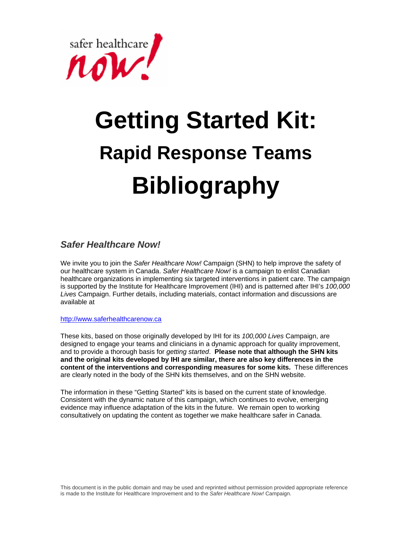safer healthcare

# **Getting Started Kit: Rapid Response Teams Bibliography**

## *Safer Healthcare Now!*

We invite you to join the *Safer Healthcare Now!* Campaign (SHN) to help improve the safety of our healthcare system in Canada. *Safer Healthcare Now!* is a campaign to enlist Canadian healthcare organizations in implementing six targeted interventions in patient care. The campaign is supported by the Institute for Healthcare Improvement (IHI) and is patterned after IHI's *100,000 Lives* Campaign. Further details, including materials, contact information and discussions are available at

http://www.saferhealthcarenow.ca

These kits, based on those originally developed by IHI for its *100,000 Lives* Campaign, are designed to engage your teams and clinicians in a dynamic approach for quality improvement, and to provide a thorough basis for *getting started*. **Please note that although the SHN kits and the original kits developed by IHI are similar, there are also key differences in the content of the interventions and corresponding measures for some kits.** These differences are clearly noted in the body of the SHN kits themselves, and on the SHN website.

The information in these "Getting Started" kits is based on the current state of knowledge. Consistent with the dynamic nature of this campaign, which continues to evolve, emerging evidence may influence adaptation of the kits in the future. We remain open to working consultatively on updating the content as together we make healthcare safer in Canada.

This document is in the public domain and may be used and reprinted without permission provided appropriate reference is made to the Institute for Healthcare Improvement and to the *Safer Healthcare Now!* Campaign.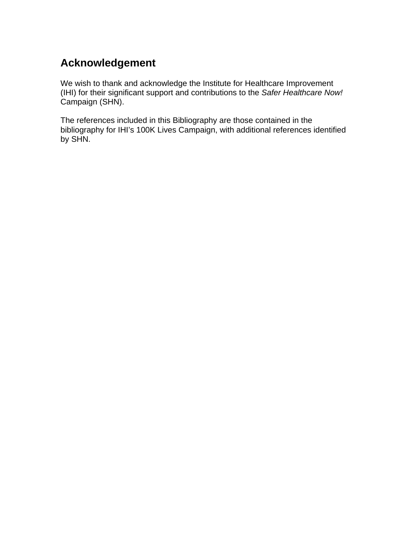## **Acknowledgement**

We wish to thank and acknowledge the Institute for Healthcare Improvement (IHI) for their significant support and contributions to the *Safer Healthcare Now!* Campaign (SHN).

The references included in this Bibliography are those contained in the bibliography for IHI's 100K Lives Campaign, with additional references identified by SHN.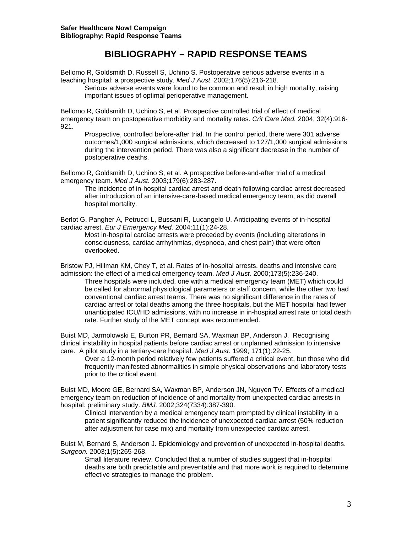## **BIBLIOGRAPHY – RAPID RESPONSE TEAMS**

Bellomo R, Goldsmith D, Russell S, Uchino S. Postoperative serious adverse events in a teaching hospital: a prospective study. *Med J Aust*. 2002;176(5):216-218.

Serious adverse events were found to be common and result in high mortality, raising important issues of optimal perioperative management.

Bellomo R, Goldsmith D, Uchino S, et al. Prospective controlled trial of effect of medical emergency team on postoperative morbidity and mortality rates. *Crit Care Med.* 2004; 32(4):916- 921.

Prospective, controlled before-after trial. In the control period, there were 301 adverse outcomes/1,000 surgical admissions, which decreased to 127/1,000 surgical admissions during the intervention period. There was also a significant decrease in the number of postoperative deaths.

Bellomo R, Goldsmith D, Uchino S, et al. A prospective before-and-after trial of a medical emergency team. *Med J Aust.* 2003;179(6):283-287.

The incidence of in-hospital cardiac arrest and death following cardiac arrest decreased after introduction of an intensive-care-based medical emergency team, as did overall hospital mortality.

Berlot G, Pangher A, Petrucci L, Bussani R, Lucangelo U. Anticipating events of in-hospital cardiac arrest. *Eur J Emergency Med.* 2004;11(1):24-28.

Most in-hospital cardiac arrests were preceded by events (including alterations in consciousness, cardiac arrhythmias, dyspnoea, and chest pain) that were often overlooked.

Bristow PJ, Hillman KM, Chey T, et al. Rates of in-hospital arrests, deaths and intensive care admission: the effect of a medical emergency team. *Med J Aust.* 2000;173(5):236-240. Three hospitals were included, one with a medical emergency team (MET) which could

be called for abnormal physiological parameters or staff concern, while the other two had conventional cardiac arrest teams. There was no significant difference in the rates of cardiac arrest or total deaths among the three hospitals, but the MET hospital had fewer unanticipated ICU/HD admissions, with no increase in in-hospital arrest rate or total death rate. Further study of the MET concept was recommended.

Buist MD, Jarmolowski E, Burton PR, Bernard SA, Waxman BP, Anderson J. Recognising clinical instability in hospital patients before cardiac arrest or unplanned admission to intensive care. A pilot study in a tertiary-care hospital. *Med J Aust.* 1999; 171(1):22-25.

Over a 12-month period relatively few patients suffered a critical event, but those who did frequently manifested abnormalities in simple physical observations and laboratory tests prior to the critical event.

Buist MD, Moore GE, Bernard SA, Waxman BP, Anderson JN, Nguyen TV. Effects of a medical emergency team on reduction of incidence of and mortality from unexpected cardiac arrests in hospital: preliminary study. *BMJ.* 2002;324(7334):387-390.

Clinical intervention by a medical emergency team prompted by clinical instability in a patient significantly reduced the incidence of unexpected cardiac arrest (50% reduction after adjustment for case mix) and mortality from unexpected cardiac arrest.

Buist M, Bernard S, Anderson J. Epidemiology and prevention of unexpected in-hospital deaths. *Surgeon.* 2003;1(5):265-268.

Small literature review. Concluded that a number of studies suggest that in-hospital deaths are both predictable and preventable and that more work is required to determine effective strategies to manage the problem.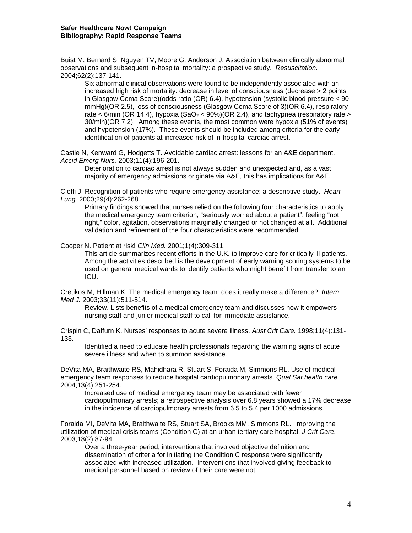Buist M, Bernard S, Nguyen TV, Moore G, Anderson J. Association between clinically abnormal observations and subsequent in-hospital mortality: a prospective study. *Resuscitation.*  2004;62(2):137-141.

Six abnormal clinical observations were found to be independently associated with an increased high risk of mortality: decrease in level of consciousness (decrease > 2 points in Glasgow Coma Score)(odds ratio (OR) 6.4), hypotension (systolic blood pressure < 90 mmHg)(OR 2.5), loss of consciousness (Glasgow Coma Score of 3)(OR 6.4), respiratory rate < 6/min (OR 14.4), hypoxia (SaO<sub>2</sub> < 90%)(OR 2.4), and tachypnea (respiratory rate > 30/min)(OR 7.2). Among these events, the most common were hypoxia (51% of events) and hypotension (17%). These events should be included among criteria for the early identification of patients at increased risk of in-hospital cardiac arrest.

Castle N, Kenward G, Hodgetts T. Avoidable cardiac arrest: lessons for an A&E department. *Accid Emerg Nurs.* 2003;11(4):196-201.

Deterioration to cardiac arrest is not always sudden and unexpected and, as a vast majority of emergency admissions originate via A&E, this has implications for A&E.

Cioffi J. Recognition of patients who require emergency assistance: a descriptive study. *Heart Lung.* 2000;29(4):262-268.

Primary findings showed that nurses relied on the following four characteristics to apply the medical emergency team criterion, "seriously worried about a patient": feeling "not right," color, agitation, observations marginally changed or not changed at all. Additional validation and refinement of the four characteristics were recommended.

Cooper N. Patient at risk! *Clin Med.* 2001;1(4):309-311.

This article summarizes recent efforts in the U.K. to improve care for critically ill patients. Among the activities described is the development of early warning scoring systems to be used on general medical wards to identify patients who might benefit from transfer to an ICU.

Cretikos M, Hillman K. The medical emergency team: does it really make a difference? *Intern Med J.* 2003;33(11):511-514.

Review. Lists benefits of a medical emergency team and discusses how it empowers nursing staff and junior medical staff to call for immediate assistance.

Crispin C, Daffurn K. Nurses' responses to acute severe illness. *Aust Crit Care.* 1998;11(4):131- 133.

Identified a need to educate health professionals regarding the warning signs of acute severe illness and when to summon assistance.

DeVita MA, Braithwaite RS, Mahidhara R, Stuart S, Foraida M, Simmons RL. Use of medical emergency team responses to reduce hospital cardiopulmonary arrests. *Qual Saf health care.*  2004;13(4):251-254.

Increased use of medical emergency team may be associated with fewer cardiopulmonary arrests; a retrospective analysis over 6.8 years showed a 17% decrease in the incidence of cardiopulmonary arrests from 6.5 to 5.4 per 1000 admissions.

Foraida MI, DeVita MA, Braithwaite RS, Stuart SA, Brooks MM, Simmons RL. Improving the utilization of medical crisis teams (Condition C) at an urban tertiary care hospital. *J Crit Care.*  2003;18(2):87-94.

Over a three-year period, interventions that involved objective definition and dissemination of criteria for initiating the Condition C response were significantly associated with increased utilization. Interventions that involved giving feedback to medical personnel based on review of their care were not.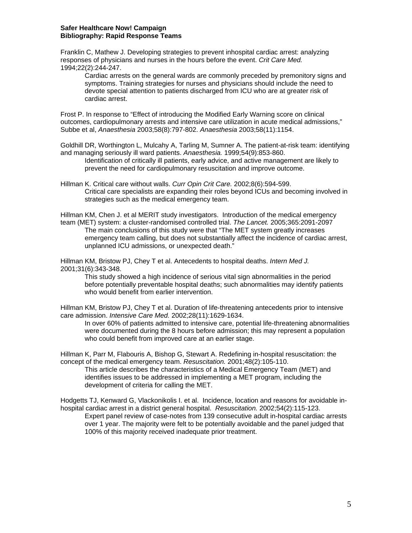### **Safer Healthcare Now! Campaign Bibliography: Rapid Response Teams**

Franklin C, Mathew J. Developing strategies to prevent inhospital cardiac arrest: analyzing responses of physicians and nurses in the hours before the event. *Crit Care Med.*  1994;22(2):244-247.

Cardiac arrests on the general wards are commonly preceded by premonitory signs and symptoms. Training strategies for nurses and physicians should include the need to devote special attention to patients discharged from ICU who are at greater risk of cardiac arrest.

Frost P. In response to "Effect of introducing the Modified Early Warning score on clinical outcomes, cardiopulmonary arrests and intensive care utilization in acute medical admissions," Subbe et al, *Anaesthesia* 2003;58(8):797-802. *Anaesthesia* 2003;58(11):1154.

Goldhill DR, Worthington L, Mulcahy A, Tarling M, Sumner A. The patient-at-risk team: identifying and managing seriously ill ward patients. *Anaesthesia.* 1999;54(9):853-860.

Identification of critically ill patients, early advice, and active management are likely to prevent the need for cardiopulmonary resuscitation and improve outcome.

Hillman K. Critical care without walls. *Curr Opin Crit Care.* 2002;8(6):594-599. Critical care specialists are expanding their roles beyond ICUs and becoming involved in strategies such as the medical emergency team.

Hillman KM, Chen J. et al MERIT study investigators. Introduction of the medical emergency team (MET) system: a cluster-randomised controlled trial. *The Lancet.* 2005;365:2091-2097 The main conclusions of this study were that "The MET system greatly increases emergency team calling, but does not substantially affect the incidence of cardiac arrest, unplanned ICU admissions, or unexpected death."

Hillman KM, Bristow PJ, Chey T et al. Antecedents to hospital deaths. *Intern Med J.*  2001;31(6):343-348.

This study showed a high incidence of serious vital sign abnormalities in the period before potentially preventable hospital deaths; such abnormalities may identify patients who would benefit from earlier intervention.

Hillman KM, Bristow PJ, Chey T et al. Duration of life-threatening antecedents prior to intensive care admission. *Intensive Care Med.* 2002;28(11):1629-1634.

In over 60% of patients admitted to intensive care, potential life-threatening abnormalities were documented during the 8 hours before admission; this may represent a population who could benefit from improved care at an earlier stage.

Hillman K, Parr M, Flabouris A, Bishop G, Stewart A. Redefining in-hospital resuscitation: the concept of the medical emergency team. *Resuscitation.* 2001;48(2):105-110.

This article describes the characteristics of a Medical Emergency Team (MET) and identifies issues to be addressed in implementing a MET program, including the development of criteria for calling the MET.

Hodgetts TJ, Kenward G, Vlackonikolis I. et al. Incidence, location and reasons for avoidable inhospital cardiac arrest in a district general hospital. *Resuscitation.* 2002;54(2):115-123. Expert panel review of case-notes from 139 consecutive adult in-hospital cardiac arrests over 1 year. The majority were felt to be potentially avoidable and the panel judged that

100% of this majority received inadequate prior treatment.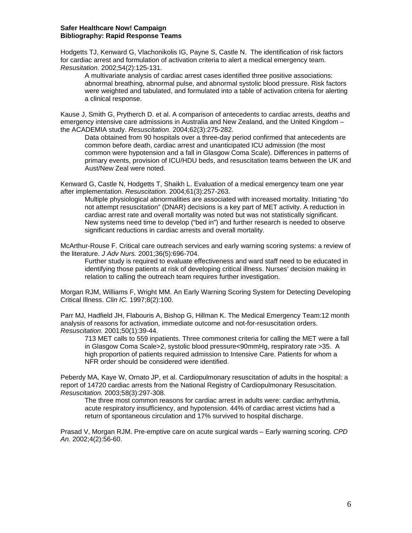### **Safer Healthcare Now! Campaign Bibliography: Rapid Response Teams**

Hodgetts TJ, Kenward G, Vlachonikolis IG, Payne S, Castle N. The identification of risk factors for cardiac arrest and formulation of activation criteria to alert a medical emergency team. *Resusitation.* 2002;54(2):125-131.

A multivariate analysis of cardiac arrest cases identified three positive associations: abnormal breathing, abnormal pulse, and abnormal systolic blood pressure. Risk factors were weighted and tabulated, and formulated into a table of activation criteria for alerting a clinical response.

Kause J, Smith G, Prytherch D. et al. A comparison of antecedents to cardiac arrests, deaths and emergency intensive care admissions in Australia and New Zealand, and the United Kingdom – the ACADEMIA study. *Resuscitation.* 2004;62(3):275-282.

Data obtained from 90 hospitals over a three-day period confirmed that antecedents are common before death, cardiac arrest and unanticipated ICU admission (the most common were hypotension and a fall in Glasgow Coma Scale). Differences in patterns of primary events, provision of ICU/HDU beds, and resuscitation teams between the UK and Aust/New Zeal were noted.

Kenward G, Castle N, Hodgetts T, Shaikh L. Evaluation of a medical emergency team one year after implementation. *Resuscitation.* 2004;61(3):257-263.

Multiple physiological abnormalities are associated with increased mortality. Initiating "do not attempt resuscitation" (DNAR) decisions is a key part of MET activity. A reduction in cardiac arrest rate and overall mortality was noted but was not statistically significant. New systems need time to develop ("bed in") and further research is needed to observe significant reductions in cardiac arrests and overall mortality.

McArthur-Rouse F. Critical care outreach services and early warning scoring systems: a review of the literature. *J Adv Nurs.* 2001;36(5):696-704.

Further study is required to evaluate effectiveness and ward staff need to be educated in identifying those patients at risk of developing critical illness. Nurses' decision making in relation to calling the outreach team requires further investigation.

Morgan RJM, Williams F, Wright MM. An Early Warning Scoring System for Detecting Developing Critical Illness. *Clin IC.* 1997;8(2):100.

Parr MJ, Hadfield JH, Flabouris A, Bishop G, Hillman K. The Medical Emergency Team:12 month analysis of reasons for activation, immediate outcome and not-for-resuscitation orders. *Resuscitation.* 2001;50(1):39-44.

713 MET calls to 559 inpatients. Three commonest criteria for calling the MET were a fall in Glasgow Coma Scale>2, systolic blood pressure<90mmHg, respiratory rate >35. A high proportion of patients required admission to Intensive Care. Patients for whom a NFR order should be considered were identified.

Peberdy MA, Kaye W, Ornato JP, et al. Cardiopulmonary resuscitation of adults in the hospital: a report of 14720 cardiac arrests from the National Registry of Cardiopulmonary Resuscitation. *Resuscitation.* 2003;58(3):297-308.

The three most common reasons for cardiac arrest in adults were: cardiac arrhythmia, acute respiratory insufficiency, and hypotension. 44% of cardiac arrest victims had a return of spontaneous circulation and 17% survived to hospital discharge.

Prasad V, Morgan RJM. Pre-emptive care on acute surgical wards – Early warning scoring. *CPD An.* 2002;4(2):56-60.